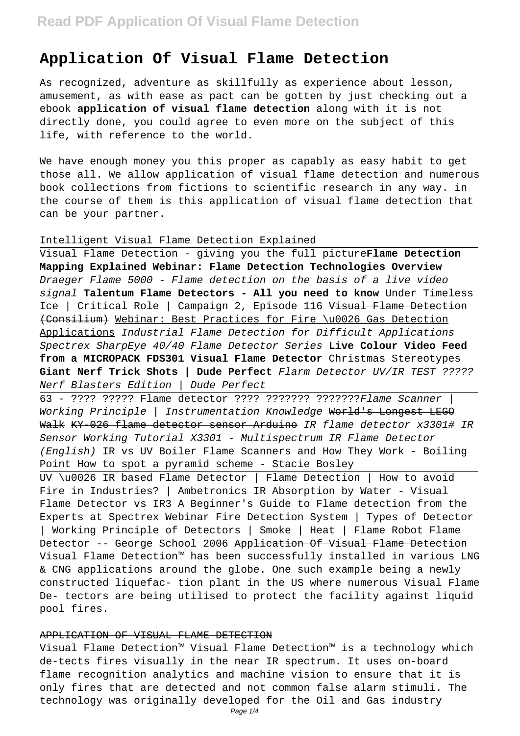# **Application Of Visual Flame Detection**

As recognized, adventure as skillfully as experience about lesson, amusement, as with ease as pact can be gotten by just checking out a ebook **application of visual flame detection** along with it is not directly done, you could agree to even more on the subject of this life, with reference to the world.

We have enough money you this proper as capably as easy habit to get those all. We allow application of visual flame detection and numerous book collections from fictions to scientific research in any way. in the course of them is this application of visual flame detection that can be your partner.

## Intelligent Visual Flame Detection Explained

Visual Flame Detection - giving you the full picture**Flame Detection Mapping Explained Webinar: Flame Detection Technologies Overview** Draeger Flame 5000 - Flame detection on the basis of a live video signal **Talentum Flame Detectors - All you need to know** Under Timeless Ice | Critical Role | Campaign 2, Episode 116 Visual Flame Detection (Consilium) Webinar: Best Practices for Fire \u0026 Gas Detection Applications Industrial Flame Detection for Difficult Applications Spectrex SharpEye 40/40 Flame Detector Series **Live Colour Video Feed from a MICROPACK FDS301 Visual Flame Detector** Christmas Stereotypes **Giant Nerf Trick Shots | Dude Perfect** Flarm Detector UV/IR TEST ????? Nerf Blasters Edition | Dude Perfect

63 - ???? ????? Flame detector ???? ??????? ???????Flame Scanner | Working Principle | Instrumentation Knowledge World's Longest LEGO Walk KY-026 flame detector sensor Arduino IR flame detector x3301# IR Sensor Working Tutorial X3301 - Multispectrum IR Flame Detector (English) IR vs UV Boiler Flame Scanners and How They Work - Boiling Point How to spot a pyramid scheme - Stacie Bosley

UV \u0026 IR based Flame Detector | Flame Detection | How to avoid Fire in Industries? | Ambetronics IR Absorption by Water - Visual Flame Detector vs IR3 A Beginner's Guide to Flame detection from the Experts at Spectrex Webinar Fire Detection System | Types of Detector | Working Principle of Detectors | Smoke | Heat | Flame Robot Flame Detector -- George School 2006 Application Of Visual Flame Detection Visual Flame Detection™ has been successfully installed in various LNG & CNG applications around the globe. One such example being a newly constructed liquefac- tion plant in the US where numerous Visual Flame De- tectors are being utilised to protect the facility against liquid pool fires.

## APPLICATION OF VISUAL FLAME DETECTION

Visual Flame Detection™ Visual Flame Detection™ is a technology which de-tects fires visually in the near IR spectrum. It uses on-board flame recognition analytics and machine vision to ensure that it is only fires that are detected and not common false alarm stimuli. The technology was originally developed for the Oil and Gas industry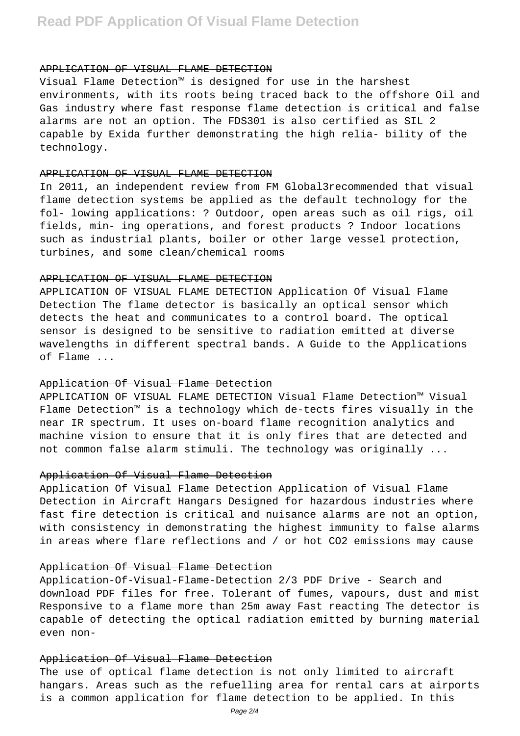# **Read PDF Application Of Visual Flame Detection**

#### APPLICATION OF VISUAL FLAME DETECTION

Visual Flame Detection™ is designed for use in the harshest environments, with its roots being traced back to the offshore Oil and Gas industry where fast response flame detection is critical and false alarms are not an option. The FDS301 is also certified as SIL 2 capable by Exida further demonstrating the high relia- bility of the technology.

#### APPLICATION OF VISUAL FLAME DETECTION

In 2011, an independent review from FM Global3recommended that visual flame detection systems be applied as the default technology for the fol- lowing applications: ? Outdoor, open areas such as oil rigs, oil fields, min- ing operations, and forest products ? Indoor locations such as industrial plants, boiler or other large vessel protection, turbines, and some clean/chemical rooms

# APPLICATION OF VISUAL FLAME DETECTION

APPLICATION OF VISUAL FLAME DETECTION Application Of Visual Flame Detection The flame detector is basically an optical sensor which detects the heat and communicates to a control board. The optical sensor is designed to be sensitive to radiation emitted at diverse wavelengths in different spectral bands. A Guide to the Applications of Flame ...

### Application Of Visual Flame Detection

APPLICATION OF VISUAL FLAME DETECTION Visual Flame Detection™ Visual Flame Detection™ is a technology which de-tects fires visually in the near IR spectrum. It uses on-board flame recognition analytics and machine vision to ensure that it is only fires that are detected and not common false alarm stimuli. The technology was originally ...

# Application Of Visual Flame Detection

Application Of Visual Flame Detection Application of Visual Flame Detection in Aircraft Hangars Designed for hazardous industries where fast fire detection is critical and nuisance alarms are not an option, with consistency in demonstrating the highest immunity to false alarms in areas where flare reflections and / or hot CO2 emissions may cause

#### Application Of Visual Flame Detection

Application-Of-Visual-Flame-Detection 2/3 PDF Drive - Search and download PDF files for free. Tolerant of fumes, vapours, dust and mist Responsive to a flame more than 25m away Fast reacting The detector is capable of detecting the optical radiation emitted by burning material even non-

### Application Of Visual Flame Detection

The use of optical flame detection is not only limited to aircraft hangars. Areas such as the refuelling area for rental cars at airports is a common application for flame detection to be applied. In this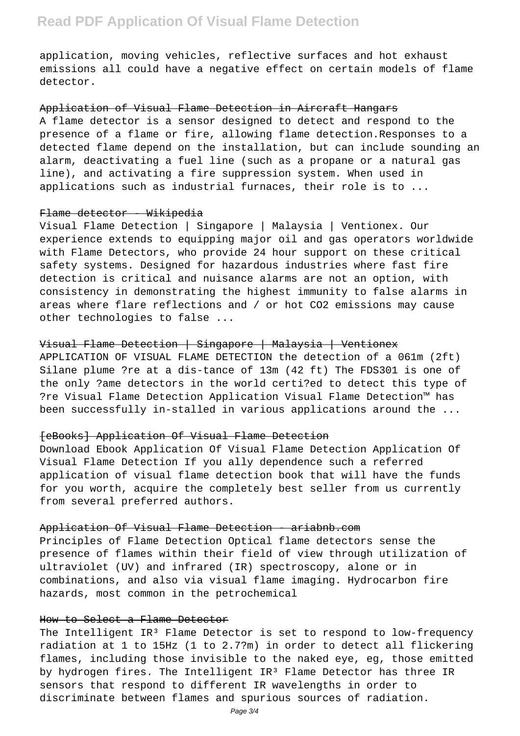application, moving vehicles, reflective surfaces and hot exhaust emissions all could have a negative effect on certain models of flame detector.

#### Application of Visual Flame Detection in Aircraft Hangars

A flame detector is a sensor designed to detect and respond to the presence of a flame or fire, allowing flame detection.Responses to a detected flame depend on the installation, but can include sounding an alarm, deactivating a fuel line (such as a propane or a natural gas line), and activating a fire suppression system. When used in applications such as industrial furnaces, their role is to ...

# Flame detector - Wikipedia

Visual Flame Detection | Singapore | Malaysia | Ventionex. Our experience extends to equipping major oil and gas operators worldwide with Flame Detectors, who provide 24 hour support on these critical safety systems. Designed for hazardous industries where fast fire detection is critical and nuisance alarms are not an option, with consistency in demonstrating the highest immunity to false alarms in areas where flare reflections and / or hot CO2 emissions may cause other technologies to false ...

# Visual Flame Detection | Singapore | Malaysia | Ventionex

APPLICATION OF VISUAL FLAME DETECTION the detection of a 061m (2ft) Silane plume ?re at a dis-tance of 13m (42 ft) The FDS301 is one of the only ?ame detectors in the world certi?ed to detect this type of ?re Visual Flame Detection Application Visual Flame Detection™ has been successfully in-stalled in various applications around the ...

# [eBooks] Application Of Visual Flame Detection

Download Ebook Application Of Visual Flame Detection Application Of Visual Flame Detection If you ally dependence such a referred application of visual flame detection book that will have the funds for you worth, acquire the completely best seller from us currently from several preferred authors.

### Application Of Visual Flame Detection - ariabnb.com

Principles of Flame Detection Optical flame detectors sense the presence of flames within their field of view through utilization of ultraviolet (UV) and infrared (IR) spectroscopy, alone or in combinations, and also via visual flame imaging. Hydrocarbon fire hazards, most common in the petrochemical

# How to Select a Flame Detector

The Intelligent IR<sup>3</sup> Flame Detector is set to respond to low-frequency radiation at 1 to 15Hz (1 to 2.7?m) in order to detect all flickering flames, including those invisible to the naked eye, eg, those emitted by hydrogen fires. The Intelligent IR<sup>3</sup> Flame Detector has three IR sensors that respond to different IR wavelengths in order to discriminate between flames and spurious sources of radiation.